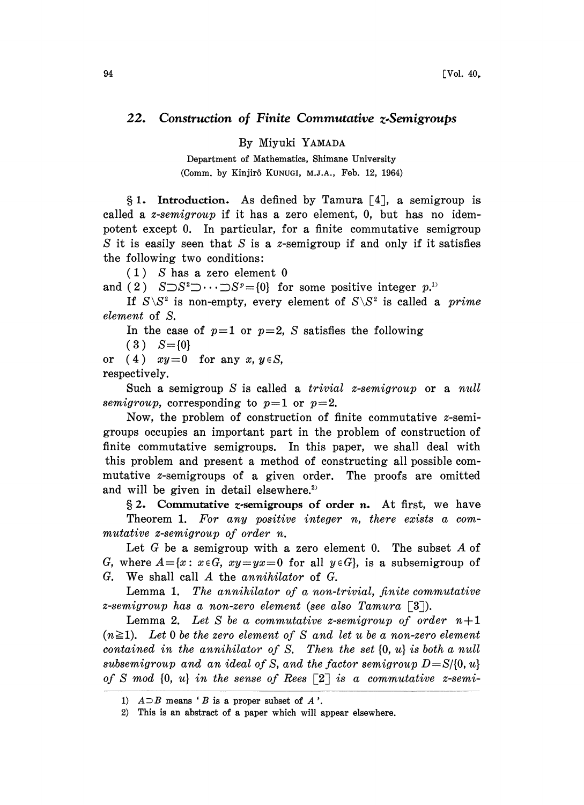## 22. Construction of Finite Commutative z.Semigroups

By Miyuki YAMADA

Department of Mathematics, Shimane University (Comm. by Kinjirô KUNUGI, M.J.A., Feb. 12, 1964)

 $§ 1.$  Introduction. As defined by Tamura [4], a semigroup is called a *z*-semigroup if it has a zero element,  $0$ , but has no idempotent except 0. In particular, for a finite commutative semigroup S it is easily seen that  $S$  is a z-semigroup if and only if it satisfies the following two conditions:

(1) S has a zero element 0

and (2)  $S \supset S^2 \supset \cdots \supset S^p = \{0\}$  for some positive integer  $p^{1}$ .

If  $S \backslash S^2$  is non-empty, every element of  $S \backslash S^2$  is called a *prime* element of S.

In the case of  $p=1$  or  $p=2$ , S satisfies the following

 $(3) S = \{0\}$ 

or (4)  $xy=0$  for any  $x, y \in S$ , respectively.

Such a semigroup S is called a *trivial z-semigroup* or a *null* semigroup, corresponding to  $p=1$  or  $p=2$ .

Now, the problem of construction of finite commutative z-semigroups occupies an important part in the problem of construction of finite commutative semigroups. In this paper, we shall deal with this problem and present a method of constructing all possible commutative z-semigroups of a given order. The proofs are omitted and will be given in detail elsewhere.<sup>2)</sup>

 $\S 2$ . Commutative *z*-semigroups of order *n*. At first, we have Theorem 1. For any positive integer n, there exists a commutative z-semigroup of order n.

Let G be a semigroup with a zero element 0. The subset A of G, where  $A = \{x : x \in G, xy = yx = 0 \text{ for all } y \in G\}$ , is a subsemigroup of G. We shall call A the annihilator of G.

Lemma 1. The annihilator of a non-trivial, finite commutative z-semigroup has a non-zero element (see also Tamura  $\lceil 3 \rceil$ ).

Lemma 2. Let S be a commutative z-semigroup of order  $n+1$  $(n \geq 1)$ . Let 0 be the zero element of S and let u be a non-zero element contained in the annihilator of S. Then the set  $\{0, u\}$  is both a null subsemigroup and an ideal of S, and the factor semigroup  $D = S/(0, u)$ of S mod  $\{0, u\}$  in the sense of Rees  $\lceil 2 \rceil$  is a commutative z-semi-

<sup>1)</sup>  $A \supset B$  means 'B is a proper subset of A'.

<sup>2)</sup> This is an abstract of a paper which will appear elsewhere.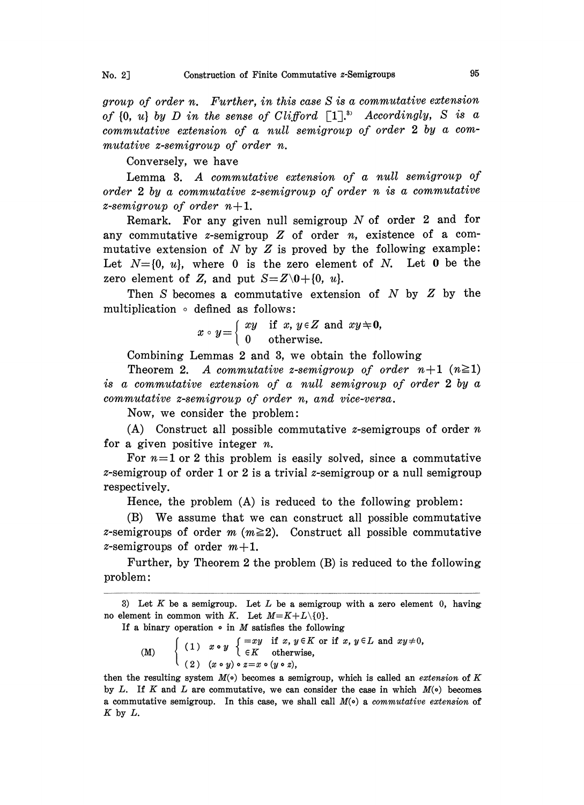group of order n. Further, in this case S is a commutative extension of  $\{0, u\}$  by  $D$  in the sense of Clifford  $\left[\begin{matrix}1\end{matrix}\right]^{\mathfrak{z}}$ . Accordingly,  $S$  is a commutative extension of a null semigroup of order <sup>2</sup> by a commutative z-semigroup of order n.

Conversely, we have

Lemma 3. A commutative extension of <sup>a</sup> null semigroup of order <sup>2</sup> by a commutative z-semigroup of order n is a commutative z-semigroup of order  $n+1$ .

Remark. For any given null semigroup  $N$  of order 2 and for any commutative *z*-semigroup  $Z$  of order *n*, existence of a commutative extension of  $N$  by  $Z$  is proved by the following example: Let  $N=[0, u]$ , where 0 is the zero element of N. Let 0 be the zero element of Z, and put  $S = Z\setminus 0 + \{0, u\}.$ 

Then  $S$  becomes a commutative extension of  $N$  by  $Z$  by the multiplication  $\circ$  defined as follows:

 $x \circ y = \begin{cases} xy & \text{if } x, y \in Z \text{ and } xy \neq 0, \\ 0 & \text{otherwise.} \end{cases}$ 

Combining Lemmas 2 and 3, we obtain the following

Theorem 2. A commutative z-semigroup of order  $n+1$   $(n\geq 1)$ is a commutative extension of a null semigroup of order 2 by a commutative z-semigroup of order n, and vice-versa.

Now, we consider the problem:

(A) Construct all possible commutative  $z$ -semigroups of order  $n$ for a given positive integer  $n$ .

For  $n=1$  or 2 this problem is easily solved, since a commutative z-semigroup of order 1 or 2 is a trivial z-semigroup or a null semigroup respectively.

Hence, the problem (A) is reduced to the following problem:

(B) We assume that we can construct all possible commutative z-semigroups of order  $m (m \geq 2)$ . Construct all possible commutative *z*-semigroups of order  $m+1$ .

Further, by Theorem 2 the problem (B) is reduced to the following problem:

If a binary operation  $\circ$  in M satisfies the following

(M)  $\left\{ \begin{array}{ll} (1) & x \cdot y \begin{array}{l} \{-xy \text{ if } x, y \in K \text{ or if } x, y \in L \text{ and } xy \neq 0, \\ \in K \end{array} \right.$ (2)  $(x \circ y) \circ z = x \circ (y \circ z),$ 

then the resulting system  $M(\circ)$  becomes a semigroup, which is called an *extension* of K by L. If K and L are commutative, we can consider the case in which  $M(\circ)$  becomes a commutative semigroup. In this case, we shall call  $M(\circ)$  a commutative extension of  $K$  by  $L$ .

<sup>3)</sup> Let K be a semigroup. Let L be a semigroup with a zero element 0, having no element in common with K. Let  $M=K+L\setminus\{0\}.$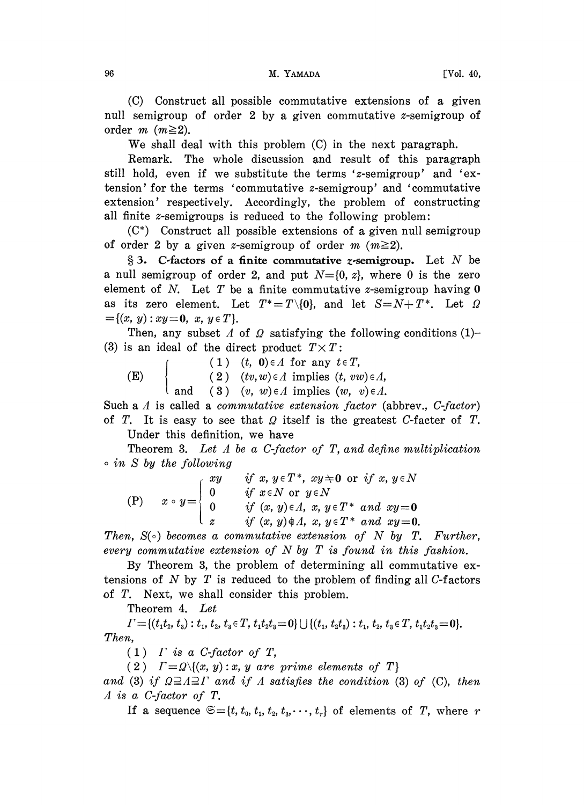(C) Construct all possible commutative extensions of a given null semigroup of order 2 by a given commutative z-semigroup of order *m* ( $m \geq 2$ ).

We shall deal with this problem (C) in the next paragraph.

Remark. The whole discussion and result of this paragraph still hold, even if we substitute the terms 'z-semigroup' and 'extension' for the terms 'commutative z-semigroup' and 'commutative extension' respectively. Accordingly, the problem of constructing all finite  $z$ -semigroups is reduced to the following problem:

(C\*) Construct all possible extensions of a given null semigroup of order 2 by a given z-semigroup of order  $m \ (m \geq 2)$ .

§ 3. C-factors of a finite commutative *z*-semigroup. Let N be a null semigroup of order 2, and put  $N=[0, z]$ , where 0 is the zero element of N. Let T be a finite commutative z-semigroup having  $0$ as its zero element. Let  $T^* = T \setminus \{0\}$ , and let  $S = N + T^*$ . Let  $\Omega$  ${=}\{(x, y): xy=0, x, y \in T\}.$ 

Then, any subset A of  $\Omega$  satisfying the following conditions (1)-(3) is an ideal of the direct product  $T \times T$ :

(1)  $(t, 0) \in A$  for any  $t \in T$ , (E)  $\{ (2) (tv, w) \in \Lambda \text{ implies } (t, vw) \in \Lambda, \}$ 

and (3)  $(v, w) \in \Lambda$  implies  $(w, v) \in \Lambda$ . Such a  $\Lambda$  is called a *commutative extension factor* (abbrev.,  $C$ -factor) of T. It is easy to see that  $\Omega$  itself is the greatest C-facter of T.

Under this definition, we have

Theorem 3. Let  $\Lambda$  be a C-factor of  $T$ , and define multiplication  $\circ$  in S by the following

(P) 
$$
x \circ y = \begin{cases} xy & \text{if } x, y \in T^*, xy \neq 0 \text{ or if } x, y \in N \\ 0 & \text{if } x \in N \text{ or } y \in N \\ 0 & \text{if } (x, y) \in \Lambda, x, y \in T^* \text{ and } xy = 0 \\ z & \text{if } (x, y) \notin \Lambda, x, y \in T^* \text{ and } xy = 0. \end{cases}
$$

Then,  $S(\circ)$  becomes a commutative extension of N by T. Further, every commutative extension of N by T is found in this fashion.

By Theorem 3, the problem of determining all commutative extensions of N by T is reduced to the problem of finding all  $C$ -factors of T. Next, we shall consider this problem.

Theorem 4. Let

 $\Gamma = \{(t_1t_2, t_2): t_1, t_2, t_3 \in T, t_1t_2t_3=0\} \cup \{(t_1, t_2t_3): t_1, t_2, t_3 \in T, t_1t_2t_3=0\}.$ Then,

 $(1)$  *Γ* is a *C*-factor of *T*,

(2)  $\Gamma = \Omega \setminus \{(x, y) : x, y \text{ are prime elements of } T\}$ 

and (3) if  $\Omega \supseteq A \supseteq \Gamma$  and if A satisfies the condition (3) of (C), then A is a C-factor of T.

If a sequence  $\mathfrak{S}=\{t, t_0, t_1, t_2, t_3,\cdots, t_r\}$  of elements of T, where r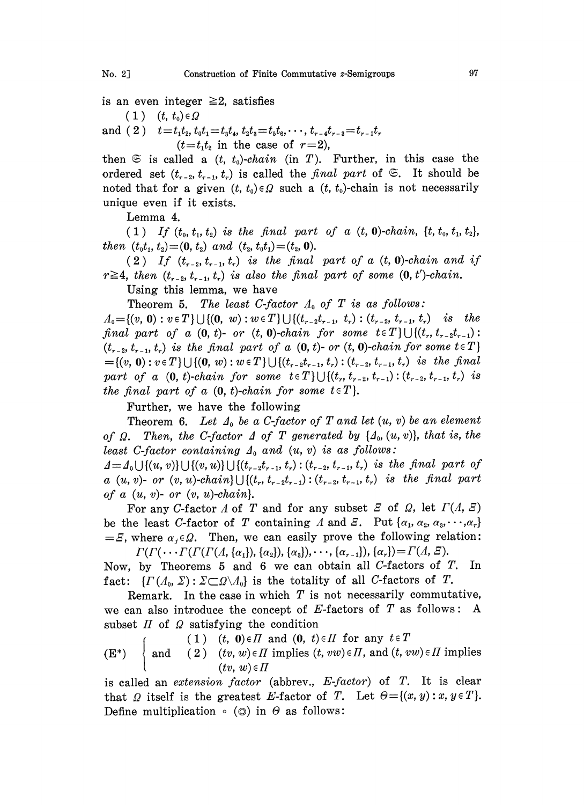is an even integer  $\geq 2$ , satisfies

 $(1)$   $(t, t_0) \in \Omega$ 

and (2)  $t=t_1t_2, t_0t_1=t_3t_4, t_2t_3=t_5t_6,\dots, t_{r-4}t_{r-3}=t_{r-1}t_r$  $(t=t_1t_2$  in the case of  $r=2$ ),

then  $\mathfrak{S}$  is called a  $(t, t_0)$ -chain (in T). Further, in this case the ordered set  $(t_{r-2}, t_{r-1}, t_r)$  is called the final part of  $\mathfrak{S}$ . It should be noted that for a given  $(t, t_0) \in \Omega$  such a  $(t, t_0)$ -chain is not necessarily unique even if it exists.

Lemma 4.

(1) If  $(t_0, t_1, t_2)$  is the final part of a  $(t, 0)$ -chain,  $\{t, t_0, t_1, t_2\}$ , then  $(t_0t_1, t_2)=(0, t_2)$  and  $(t_2, t_0t_1)=(t_2, 0).$ 

(2) If  $(t_{r-2}, t_{r-1}, t_r)$  is the final part of a  $(t, 0)$ -chain and if  $r \ge 4$ , then  $(t_{r-2}, t_{r-1}, t_r)$  is also the final part of some  $(0, t')$ -chain.

Using this lemma, we have

Theorem 5. The least C-factor  $A_0$  of T is as follows:

 $A_0 = \{(v, 0): v \in T\} \cup \{(0, w): w \in T\} \cup \{(t_{r-2}, t_{r-1}, t_r): (t_{r-2}, t_{r-1}, t_r)$  is the final part of a  $(0, t)$ - or  $(t, 0)$ -chain for some  $t \in T$ } $\bigcup \{(t_r, t_{r-2}, t_{r-1}) :$  $(t_{r-2}, t_{r-1}, t_r)$  is the final part of a  $(0, t)$ - or  $(t, 0)$ -chain for some  $t \in T$ }  $=\{(v, 0): v \in T\} \cup \{(0, w): w \in T\} \cup \{(t_{r-2}, t_{r-1}, t_r): (t_{r-2}, t_{r-1}, t_r)$  is the final part of a  $(0, t)$ -chain for some  $t \in T$ } $\bigcup \{(t_r, t_{r-2}, t_{r-1}): (t_{r-2}, t_{r-1}, t_r)$  is the final part of a  $(0, t)$ -chain for some  $t \in T$ .

Further, we have the following

Theorem 6. Let  $\Lambda_0$  be a C-factor of T and let  $(u, v)$  be an element of  $\Omega$ . Then, the C-factor  $\Delta$  of T generated by  $\{\Delta_0, (u, v)\}\$ , that is, the least C-factor containing  $\Delta_0$  and  $(u, v)$  is as follows:

 $\Delta = \Delta_0 \cup \{(u, v)\}\cup \{(v, u)\}\cup \{(t_{r-2}t_{r-1}, t_r) : (t_{r-2}, t_{r-1}, t_r)$  is the final part of a  $(u, v)$ - or  $(v, u)$ -chain} $\bigcup \{(t_r, t_{r-2}, t_{r-1}): (t_{r-2}, t_{r-1}, t_r)$  is the final part of a  $(u, v)$ - or  $(v, u)$ -chain.

For any C-factor  $\Lambda$  of  $T$  and for any subset  $\mathcal E$  of  $\Omega$ , let  $\Gamma(\Lambda, \mathcal E)$ be the least C-factor of T containing A and E. Put  $\{\alpha_1, \alpha_2, \alpha_3, \cdots, \alpha_r\}$  $E = E$ , where  $\alpha_i \in \Omega$ . Then, we can easily prove the following relation:  $\Gamma(\Gamma(\cdots\Gamma(\Gamma(\Gamma(A,\{\alpha_1\}),{\{\alpha_2\}}),{\{\alpha_3\}}),\cdots,{\{\alpha_{r-1}\}}), {\{\alpha_r\}})=\Gamma(A,\varXi).$ 

Now, by Theorems 5 and 6 we can obtain all C-factors of  $T$ . In fact:  $\{ \Gamma(A_0, \Sigma) : \Sigma \subset \Omega \backslash A_0 \}$  is the totality of all C-factors of T.

Remark. In the case in which  $T$  is not necessarily commutative, we can also introduce the concept of  $E$ -factors of  $T$  as follows: A subset  $\Pi$  of  $\Omega$  satisfying the condition

(1)  $(t, 0) \in \Pi$  and  $(0, t) \in \Pi$  for any  $t \in T$ 

(E\*)  $\left\{\right. \text{and} \quad (2) \quad (tv, w) \in \Pi \text{ implies } (t, vw) \in \Pi, \text{ and } (t, vw) \in \Pi \text{ implies}$  $(tv, w) \in \Pi$ 

is called an *extension factor* (abbrev.,  $E$ -factor) of  $T$ . It is clear that  $\Omega$  itself is the greatest E-factor of T. Let  $\Theta = \{(x, y) : x, y \in T\}.$ Define multiplication  $\circ$  ( $\circ$ ) in  $\Theta$  as follows: